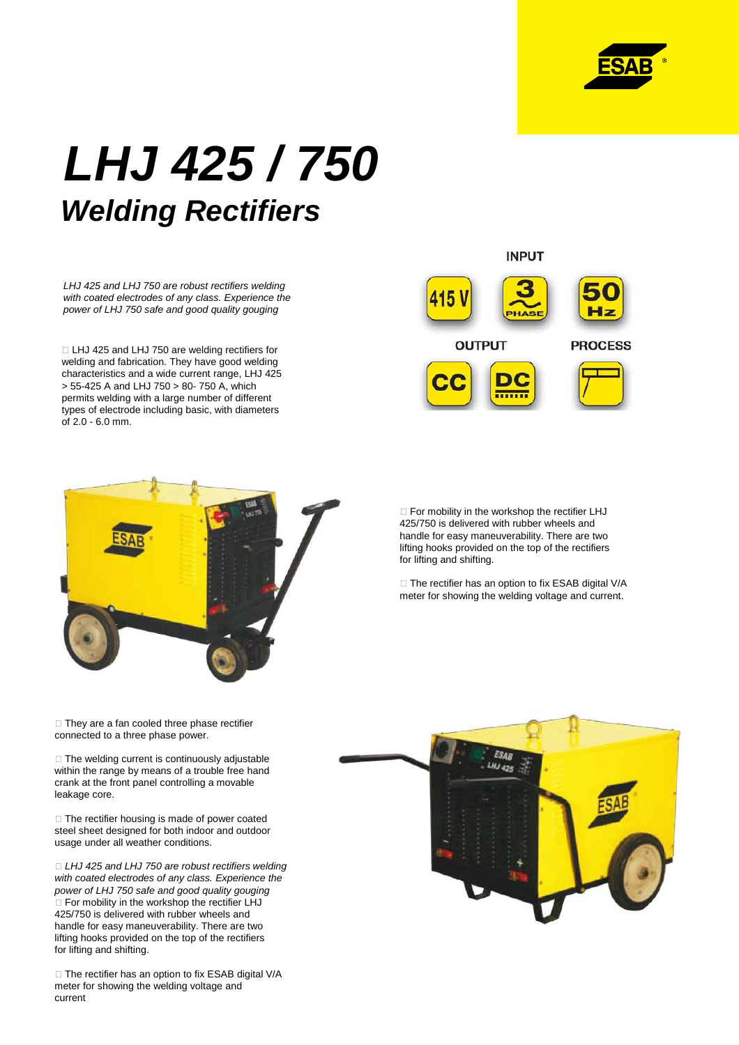

## **LHJ 425 / 750 Welding Rectifiers**

LHJ 425 and LHJ 750 are robust rectifiers welding with coated electrodes of any class. Experience the power of LHJ 750 safe and good quality gouging

 LHJ 425 and LHJ 750 are welding rectifiers for welding and fabrication. They have good welding characteristics and a wide current range, LHJ 425 > 55-425 A and LHJ 750 > 80- 750 A, which permits welding with a large number of different types of electrode including basic, with diameters of 2.0 - 6.0 mm.



 For mobility in the workshop the rectifier LHJ 425/750 is delivered with rubber wheels and handle for easy maneuverability. There are two lifting hooks provided on the top of the rectifiers for lifting and shifting.

 The rectifier has an option to fix ESAB digital V/A meter for showing the welding voltage and current.

 They are a fan cooled three phase rectifier connected to a three phase power.

 The welding current is continuously adjustable within the range by means of a trouble free hand crank at the front panel controlling a movable leakage core.

 The rectifier housing is made of power coated steel sheet designed for both indoor and outdoor usage under all weather conditions.

 LHJ 425 and LHJ 750 are robust rectifiers welding with coated electrodes of any class. Experience the power of LHJ 750 safe and good quality gouging

 For mobility in the workshop the rectifier LHJ 425/750 is delivered with rubber wheels and handle for easy maneuverability. There are two lifting hooks provided on the top of the rectifiers for lifting and shifting.

 The rectifier has an option to fix ESAB digital V/A meter for showing the welding voltage and current